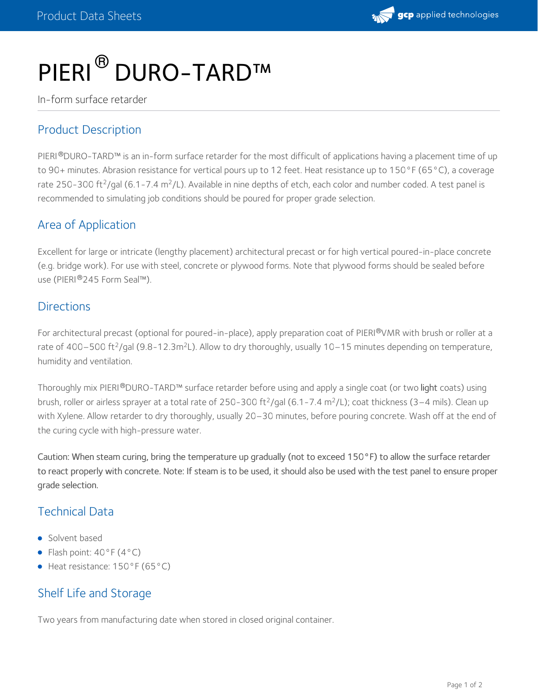# PIERI<sup>®</sup> DURO-TARD™

In-form surface retarder

## Product Description

PIERI®DURO-TARD™ is an in-form surface retarder for the most difficult of applications having a placement time of up to 90+ minutes. Abrasion resistance for vertical pours up to 12 feet. Heat resistance up to 150°F (65°C), a coverage rate 250-300 ft<sup>2</sup>/gal (6.1-7.4 m<sup>2</sup>/L). Available in nine depths of etch, each color and number coded. A test panel is recommended to simulating job conditions should be poured for proper grade selection.

#### Area of Application

Excellent for large or intricate (lengthy placement) architectural precast or for high vertical poured-in-place concrete (e.g. bridge work). For use with steel, concrete or plywood forms. Note that plywood forms should be sealed before use (PIERI®245 Form Seal™).

#### **Directions**

For architectural precast (optional for poured-in-place), apply preparation coat of PIERI®VMR with brush or roller at a rate of 400–500 ft<sup>2</sup>/gal (9.8-12.3m<sup>2</sup>L). Allow to dry thoroughly, usually 10–15 minutes depending on temperature, humidity and ventilation.

Thoroughly mix PIERI®DURO-TARD™ surface retarder before using and apply a single coat (or two **light** coats) using brush, roller or airless sprayer at a total rate of 250-300 ft<sup>2</sup>/gal (6.1-7.4 m<sup>2</sup>/L); coat thickness (3–4 mils). Clean up with Xylene. Allow retarder to dry thoroughly, usually 20–30 minutes, before pouring concrete. Wash off at the end of the curing cycle with high-pressure water.

Caution: When steam curing, bring the temperature up gradually (not to exceed 150°F) to allow the surface retarder to react properly with concrete. Note: If steam is to be used, it should also be used with the test panel to ensure proper grade selection.

#### Technical Data

- Solvent based
- Flash point:  $40^{\circ}$ F ( $4^{\circ}$ C)
- Heat resistance: 150°F (65°C)

#### Shelf Life and Storage

Two years from manufacturing date when stored in closed original container.